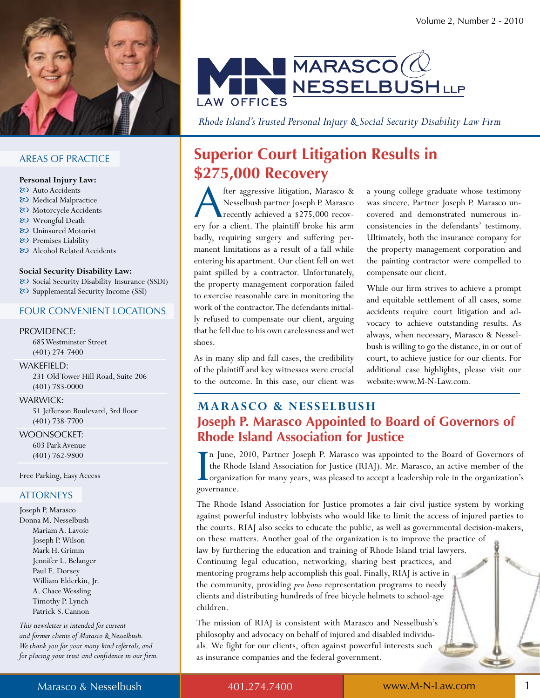

### **AREAS OF PRACTICE**

#### Personal Injury Law:

- & Auto Accidents
- & Medical Malpractice
- & Motorcycle Accidents
- 80 Wrongful Death
- & Uninsured Motorist
- & Premises Liability
- & Alcohol Related Accidents

#### Social Security Disability Law:

& Social Security Disability Insurance (SSDI) & Supplemental Security Income (SSI)

#### **FOUR CONVENIENT LOCATIONS**

#### **PROVIDENCE:**

685 Westminster Street  $(401)$  274-7400

WAKEFIELD:

231 Old Tower Hill Road, Suite 206  $(401) 783 - 0000$ 

#### **WARWICK:**

51 Jefferson Boulevard, 3rd floor  $(401) 738 - 7700$ 

**WOONSOCKET:** 603 Park Avenue  $(401) 762 - 9800$ 

Free Parking, Easy Access

### **ATTORNEYS**

Joseph P. Marasco Donna M. Nesselbush Mariam A. Lavoie Joseph P. Wilson Mark H. Grimm Jennifer L. Belanger Paul E. Dorsey William Elderkin, Jr. A. Chace Wessling Timothy P. Lynch Patrick S. Cannon

This newsletter is intended for current and former clients of Marasco & Nesselbush. We thank you for your many kind referrals, and for placing your trust and confidence in our firm.



Rhode Island's Trusted Personal Injury & Social Security Disability Law Firm

### **Superior Court Litigation Results in** \$275,000 Recovery

fter aggressive litigation, Marasco & Nesselbush partner Joseph P. Marasco recently achieved a \$275,000 recovery for a client. The plaintiff broke his arm badly, requiring surgery and suffering permanent limitations as a result of a fall while entering his apartment. Our client fell on wet paint spilled by a contractor. Unfortunately, the property management corporation failed to exercise reasonable care in monitoring the work of the contractor. The defendants initially refused to compensate our client, arguing that he fell due to his own carelessness and wet shoes.

As in many slip and fall cases, the credibility of the plaintiff and key witnesses were crucial to the outcome. In this case, our client was a young college graduate whose testimony was sincere. Partner Joseph P. Marasco uncovered and demonstrated numerous inconsistencies in the defendants' testimony. Ultimately, both the insurance company for the property management corporation and the painting contractor were compelled to compensate our client.

While our firm strives to achieve a prompt and equitable settlement of all cases, some accidents require court litigation and advocacy to achieve outstanding results. As always, when necessary, Marasco & Nesselbush is willing to go the distance, in or out of court, to achieve justice for our clients. For additional case highlights, please visit our website:www.M-N-Law.com.

### **MARASCO & NESSELBUSH** Joseph P. Marasco Appointed to Board of Governors of **Rhode Island Association for Justice**

'n June, 2010, Partner Joseph P. Marasco was appointed to the Board of Governors of the Rhode Island Association for Justice (RIAJ). Mr. Marasco, an active member of the Lorganization for many years, was pleased to accept a leadership role in the organization's governance.

The Rhode Island Association for Justice promotes a fair civil justice system by working against powerful industry lobbyists who would like to limit the access of injured parties to the courts. RIAJ also seeks to educate the public, as well as governmental decision-makers, on these matters. Another goal of the organization is to improve the practice of law by furthering the education and training of Rhode Island trial lawyers. Continuing legal education, networking, sharing best practices, and mentoring programs help accomplish this goal. Finally, RIAJ is active in the community, providing pro bono representation programs to needy clients and distributing hundreds of free bicycle helmets to school-age children.

The mission of RIAJ is consistent with Marasco and Nesselbush's philosophy and advocacy on behalf of injured and disabled individuals. We fight for our clients, often against powerful interests such as insurance companies and the federal government.

401.274.7400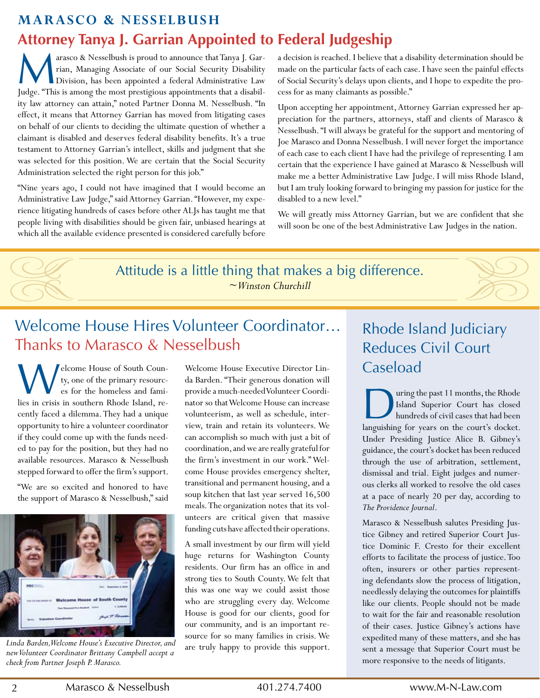### **Marasco & Nesselbush Attorney Tanya J. Garrian Appointed to Federal Judgeship**

M<sup>ation</sup> arasco & Nesselbush is proud to announce that Tanya J. Garrian, Managing Associate of our Social Security Disability Division, has been appointed a federal Administrative Law Judge. "This is among the most prestigious appointments that a disability law attorney can attain," noted Partner Donna M. Nesselbush. "In effect, it means that Attorney Garrian has moved from litigating cases on behalf of our clients to deciding the ultimate question of whether a claimant is disabled and deserves federal disability benefits. It's a true testament to Attorney Garrian's intellect, skills and judgment that she was selected for this position. We are certain that the Social Security Administration selected the right person for this job."

"Nine years ago, I could not have imagined that I would become an Administrative Law Judge," said Attorney Garrian. "However, my experience litigating hundreds of cases before other ALJs has taught me that people living with disabilities should be given fair, unbiased hearings at which all the available evidence presented is considered carefully before

a decision is reached. I believe that a disability determination should be made on the particular facts of each case. I have seen the painful effects of Social Security's delays upon clients, and I hope to expedite the process for as many claimants as possible."

Upon accepting her appointment, Attorney Garrian expressed her appreciation for the partners, attorneys, staff and clients of Marasco & Nesselbush. "I will always be grateful for the support and mentoring of Joe Marasco and Donna Nesselbush. I will never forget the importance of each case to each client I have had the privilege of representing. I am certain that the experience I have gained at Marasco & Nesselbush will make me a better Administrative Law Judge. I will miss Rhode Island, but I am truly looking forward to bringing my passion for justice for the disabled to a new level."

We will greatly miss Attorney Garrian, but we are confident that she will soon be one of the best Administrative Law Judges in the nation.

Attitude is a little thing that makes a big difference. *~ Winston Churchill*

### Welcome House Hires Volunteer coordinator… thanks to Marasco & Nesselbush

W elcome House of South County, one of the primary resources for the homeless and families in crisis in southern Rhode Island, recently faced a dilemma. They had a unique opportunity to hire a volunteer coordinator if they could come up with the funds needed to pay for the position, but they had no available resources. Marasco & Nesselbush stepped forward to offer the firm's support.

"We are so excited and honored to have the support of Marasco & Nesselbush," said



*Linda Barden, Welcome House's Executive Director, and new Volunteer Coordinator Brittany Campbell accept a check from Partner Joseph P. Marasco.*

Welcome House Executive Director Linda Barden. "Their generous donation will provide a much-needed Volunteer Coordinator so that Welcome House can increase volunteerism, as well as schedule, interview, train and retain its volunteers. We can accomplish so much with just a bit of coordination, and we are really grateful for the firm's investment in our work." Welcome House provides emergency shelter, transitional and permanent housing, and a soup kitchen that last year served  $16,500$ meals. The organization notes that its volunteers are critical given that massive funding cuts have affected their operations.

A small investment by our firm will yield huge returns for Washington County residents. Our firm has an office in and strong ties to South County. We felt that this was one way we could assist those who are struggling every day. Welcome House is good for our clients, good for our community, and is an important resource for so many families in crisis. We are truly happy to provide this support.

### Rhode Island Judiciary Reduces Civil Court caseload

a languishing the past 11 months, the Rhode<br>
Island Superior Court has closed<br>
hundreds of civil cases that had been<br>
languishing for years on the court's docket. uring the past 11 months, the Rhode Island Superior Court has closed hundreds of civil cases that had been Under Presiding Justice Alice B. Gibney's guidance, the court's docket has been reduced through the use of arbitration, settlement, dismissal and trial. Eight judges and numerous clerks all worked to resolve the old cases at a pace of nearly 20 per day, according to *The Providence Journal*.

Marasco & Nesselbush salutes Presiding Justice Gibney and retired Superior Court Justice Dominic F. Cresto for their excellent efforts to facilitate the process of justice. Too often, insurers or other parties representing defendants slow the process of litigation, needlessly delaying the outcomes for plaintiffs like our clients. People should not be made to wait for the fair and reasonable resolution of their cases. Justice Gibney's actions have expedited many of these matters, and she has sent a message that Superior Court must be more responsive to the needs of litigants.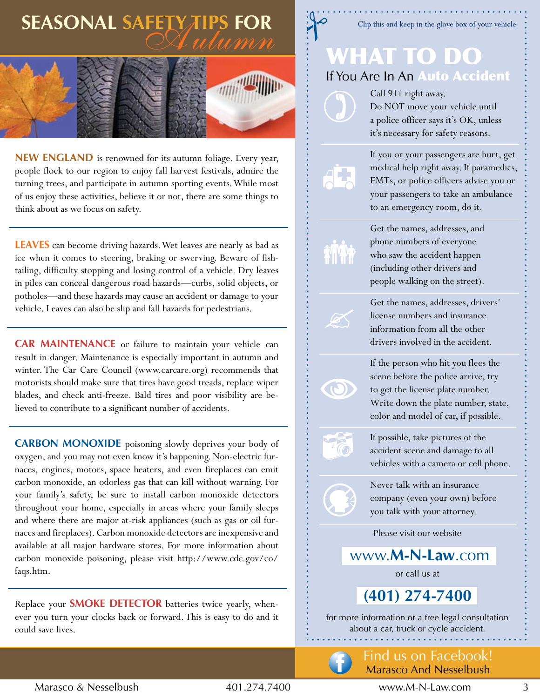## **SEASONAL SAFETY TIPS FOR**



**NEW ENGLAND** is renowned for its autumn foliage. Every year, people flock to our region to enjoy fall harvest festivals, admire the turning trees, and participate in autumn sporting events. While most of us enjoy these activities, believe it or not, there are some things to think about as we focus on safety.

**LEAVES** can become driving hazards. Wet leaves are nearly as bad as ice when it comes to steering, braking or swerving. Beware of fishtailing, difficulty stopping and losing control of a vehicle. Dry leaves in piles can conceal dangerous road hazards—curbs, solid objects, or potholes—and these hazards may cause an accident or damage to your vehicle. Leaves can also be slip and fall hazards for pedestrians.

**CAR MAINTENANCE-or** failure to maintain your vehicle-can result in danger. Maintenance is especially important in autumn and winter. The Car Care Council (www.carcare.org) recommends that motorists should make sure that tires have good treads, replace wiper blades, and check anti-freeze. Bald tires and poor visibility are believed to contribute to a significant number of accidents.

**CARBON MONOXIDE** poisoning slowly deprives your body of oxygen, and you may not even know it's happening. Non-electric furnaces, engines, motors, space heaters, and even fireplaces can emit carbon monoxide, an odorless gas that can kill without warning. For your family's safety, be sure to install carbon monoxide detectors throughout your home, especially in areas where your family sleeps and where there are major at-risk appliances (such as gas or oil furnaces and fireplaces). Carbon monoxide detectors are inexpensive and available at all major hardware stores. For more information about carbon monoxide poisoning, please visit http://www.cdc.gov/co/ faqs.htm. 

Replace your **SMOKE DETECTOR** batteries twice yearly, whenever you turn your clocks back or forward. This is easy to do and it could save lives.

### Clip this and keep in the glove box of your vehicle

## What to Do If You Are In An Auto Accident

Call 911 right away. Do NOT move your vehicle until a police officer says it's OK, unless it's necessary for safety reasons.



 $\mathscr{A}$ 

 $\circledcirc$ 

 $\cdot \odot$ 

If you or your passengers are hurt, get medical help right away. If paramedics, EMTs, or police officers advise you or your passengers to take an ambulance to an emergency room, do it.

Get the names, addresses, and phone numbers of everyone who saw the accident happen (including other drivers and people walking on the street).

Get the names, addresses, drivers' license numbers and insurance information from all the other drivers involved in the accident.

If the person who hit you flees the scene before the police arrive, try to get the license plate number. Write down the plate number, state, color and model of car, if possible.

If possible, take pictures of the accident scene and damage to all vehicles with a camera or cell phone.

Never talk with an insurance company (even your own) before you talk with your attorney.

Please visit our website

www.**M-n-Law**.com

or call us at

**(401) 274-7400** 

for more information or a free legal consultation about a car, truck or cycle accident.

### find us on facebook! Marasco And Nesselbush

Marasco & Nesselbush 401.274.7400 www.M-N-law.com 3